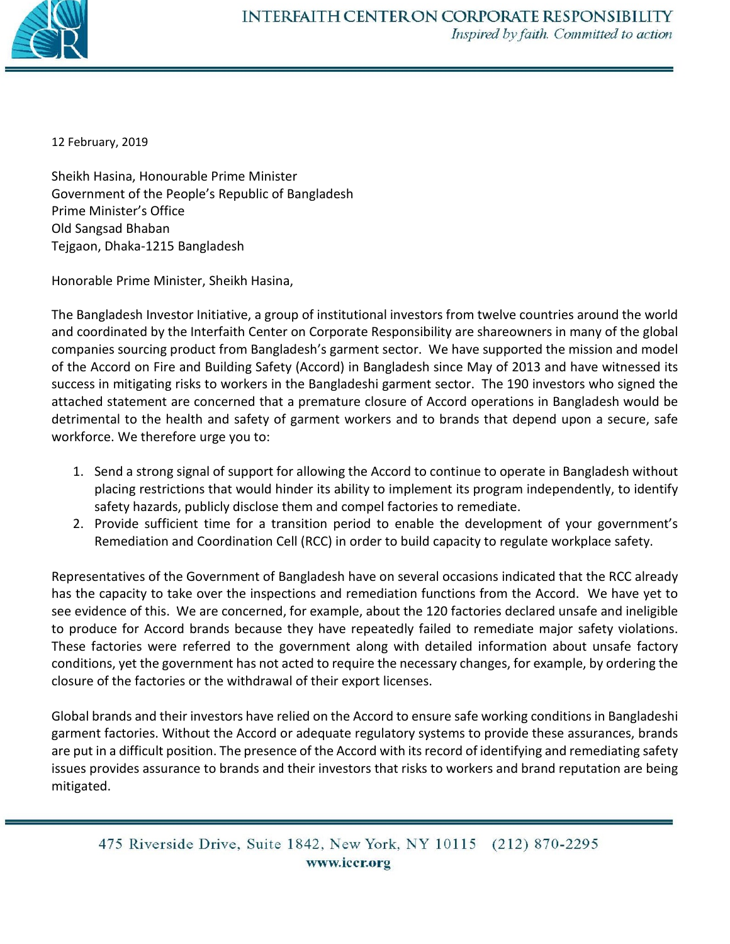

12 February, 2019

Sheikh Hasina, Honourable Prime Minister Government of the People's Republic of Bangladesh Prime Minister's Office Old Sangsad Bhaban Tejgaon, Dhaka-1215 Bangladesh

Honorable Prime Minister, Sheikh Hasina,

The Bangladesh Investor Initiative, a group of institutional investors from twelve countries around the world and coordinated by the Interfaith Center on Corporate Responsibility are shareowners in many of the global companies sourcing product from Bangladesh's garment sector. We have supported the mission and model of the Accord on Fire and Building Safety (Accord) in Bangladesh since May of 2013 and have witnessed its success in mitigating risks to workers in the Bangladeshi garment sector. The 190 investors who signed the attached statement are concerned that a premature closure of Accord operations in Bangladesh would be detrimental to the health and safety of garment workers and to brands that depend upon a secure, safe workforce. We therefore urge you to:

- 1. Send a strong signal of support for allowing the Accord to continue to operate in Bangladesh without placing restrictions that would hinder its ability to implement its program independently, to identify safety hazards, publicly disclose them and compel factories to remediate.
- 2. Provide sufficient time for a transition period to enable the development of your government's Remediation and Coordination Cell (RCC) in order to build capacity to regulate workplace safety.

Representatives of the Government of Bangladesh have on several occasions indicated that the RCC already has the capacity to take over the inspections and remediation functions from the Accord. We have yet to see evidence of this. We are concerned, for example, about the 120 factories declared unsafe and ineligible to produce for Accord brands because they have repeatedly failed to remediate major safety violations. These factories were referred to the government along with detailed information about unsafe factory conditions, yet the government has not acted to require the necessary changes, for example, by ordering the closure of the factories or the withdrawal of their export licenses.

Global brands and their investors have relied on the Accord to ensure safe working conditions in Bangladeshi garment factories. Without the Accord or adequate regulatory systems to provide these assurances, brands are put in a difficult position. The presence of the Accord with its record of identifying and remediating safety issues provides assurance to brands and their investors that risks to workers and brand reputation are being mitigated.